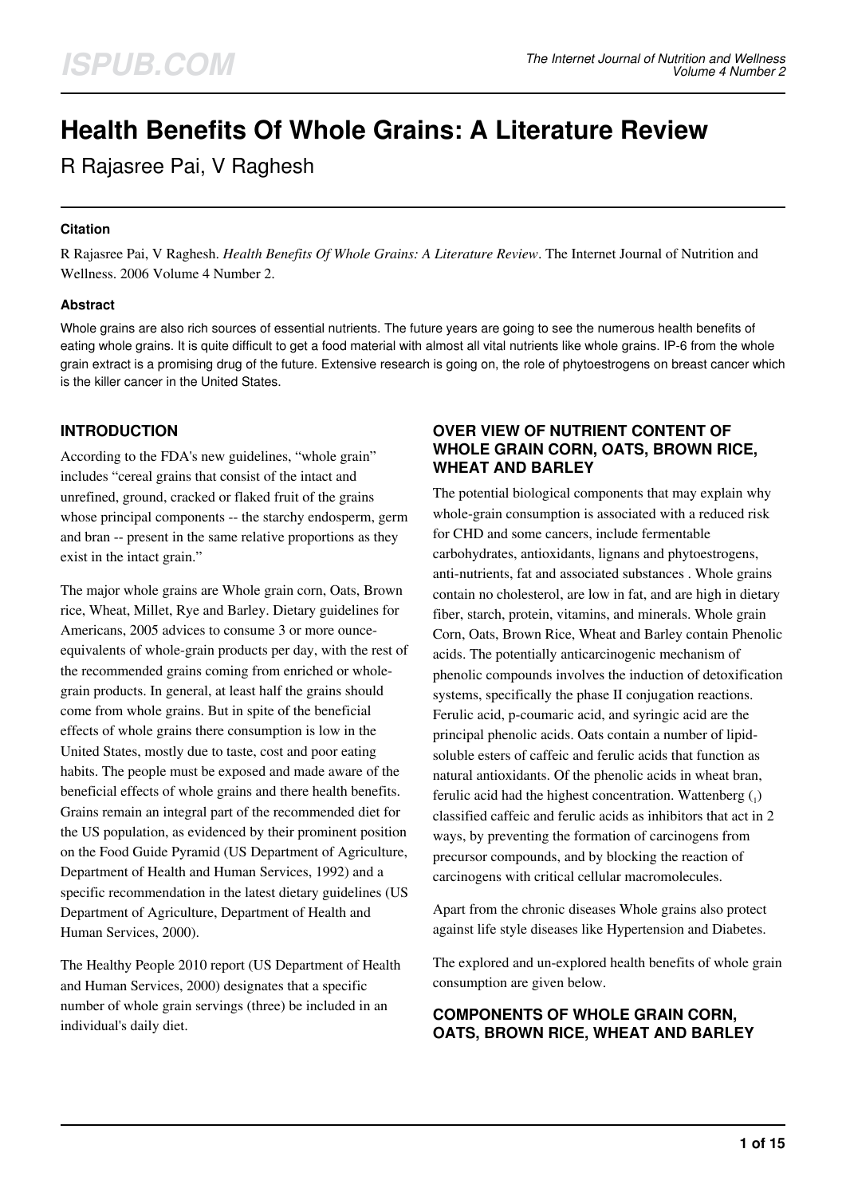# **Health Benefits Of Whole Grains: A Literature Review**

R Rajasree Pai, V Raghesh

#### **Citation**

R Rajasree Pai, V Raghesh. *Health Benefits Of Whole Grains: A Literature Review*. The Internet Journal of Nutrition and Wellness. 2006 Volume 4 Number 2.

#### **Abstract**

Whole grains are also rich sources of essential nutrients. The future years are going to see the numerous health benefits of eating whole grains. It is quite difficult to get a food material with almost all vital nutrients like whole grains. IP-6 from the whole grain extract is a promising drug of the future. Extensive research is going on, the role of phytoestrogens on breast cancer which is the killer cancer in the United States.

## **INTRODUCTION**

According to the FDA's new guidelines, "whole grain" includes "cereal grains that consist of the intact and unrefined, ground, cracked or flaked fruit of the grains whose principal components -- the starchy endosperm, germ and bran -- present in the same relative proportions as they exist in the intact grain."

The major whole grains are Whole grain corn, Oats, Brown rice, Wheat, Millet, Rye and Barley. Dietary guidelines for Americans, 2005 advices to consume 3 or more ounceequivalents of whole-grain products per day, with the rest of the recommended grains coming from enriched or wholegrain products. In general, at least half the grains should come from whole grains. But in spite of the beneficial effects of whole grains there consumption is low in the United States, mostly due to taste, cost and poor eating habits. The people must be exposed and made aware of the beneficial effects of whole grains and there health benefits. Grains remain an integral part of the recommended diet for the US population, as evidenced by their prominent position on the Food Guide Pyramid (US Department of Agriculture, Department of Health and Human Services, 1992) and a specific recommendation in the latest dietary guidelines (US Department of Agriculture, Department of Health and Human Services, 2000).

The Healthy People 2010 report (US Department of Health and Human Services, 2000) designates that a specific number of whole grain servings (three) be included in an individual's daily diet.

#### **OVER VIEW OF NUTRIENT CONTENT OF WHOLE GRAIN CORN, OATS, BROWN RICE, WHEAT AND BARLEY**

The potential biological components that may explain why whole-grain consumption is associated with a reduced risk for CHD and some cancers, include fermentable carbohydrates, antioxidants, lignans and phytoestrogens, anti-nutrients, fat and associated substances . Whole grains contain no cholesterol, are low in fat, and are high in dietary fiber, starch, protein, vitamins, and minerals. Whole grain Corn, Oats, Brown Rice, Wheat and Barley contain Phenolic acids. The potentially anticarcinogenic mechanism of phenolic compounds involves the induction of detoxification systems, specifically the phase II conjugation reactions. Ferulic acid, p-coumaric acid, and syringic acid are the principal phenolic acids. Oats contain a number of lipidsoluble esters of caffeic and ferulic acids that function as natural antioxidants. Of the phenolic acids in wheat bran, ferulic acid had the highest concentration. Wattenberg  $\binom{1}{1}$ classified caffeic and ferulic acids as inhibitors that act in 2 ways, by preventing the formation of carcinogens from precursor compounds, and by blocking the reaction of carcinogens with critical cellular macromolecules.

Apart from the chronic diseases Whole grains also protect against life style diseases like Hypertension and Diabetes.

The explored and un-explored health benefits of whole grain consumption are given below.

#### **COMPONENTS OF WHOLE GRAIN CORN, OATS, BROWN RICE, WHEAT AND BARLEY**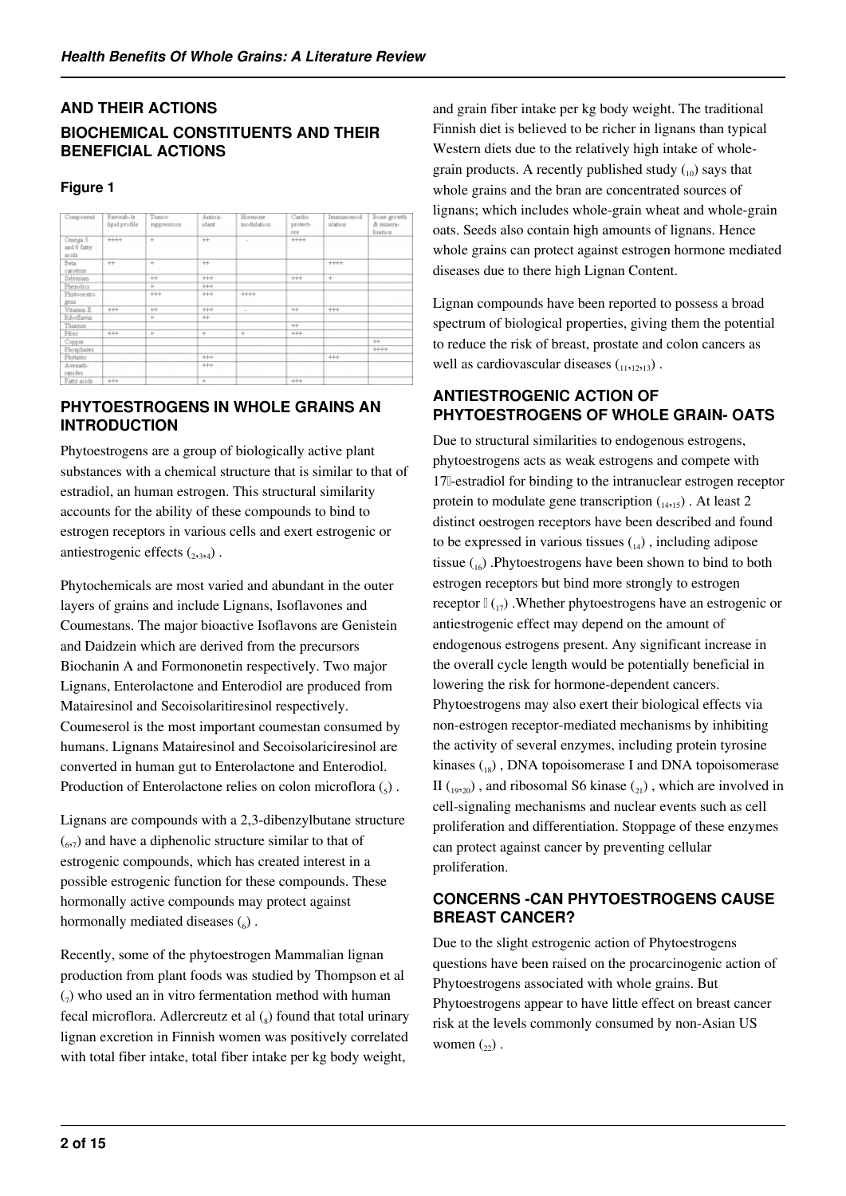## **AND THEIR ACTIONS BIOCHEMICAL CONSTITUENTS AND THEIR BENEFICIAL ACTIONS**

#### **Figure 1**

| Component                       | Favorab-le<br>lipid profile | Tumor<br>rappression | Antiott-<br>idant | Hormone<br>modulation | Cardio<br>protect-<br>ive | Immunomod<br>ulation | Bone growth<br>& minera-<br>lization |
|---------------------------------|-----------------------------|----------------------|-------------------|-----------------------|---------------------------|----------------------|--------------------------------------|
| Omega 3<br>and 6 fatty<br>acida | $+ + +$                     | $\ddot{}$            | $^{+}$            | $\sim$                | $+ + + +$                 |                      |                                      |
| Bets.<br>carotene               | $^{+}$                      | ÷                    | $^{+}$            |                       |                           | $++++$               |                                      |
| Selenium                        |                             | $+ +$                | $++$              |                       | $++$                      | $\pm$                |                                      |
| Phenolics                       |                             | ÷                    | $+ + +$           |                       |                           |                      |                                      |
| Phytocestro<br>gens             |                             | $+ + +$              | 444               | 4444                  |                           |                      |                                      |
| Vitamin E                       | $^{++}$                     | $^{+}$               | $^{++}$           | $\sim$                | $^{+}$                    | $+ + +$              |                                      |
| Riboflavin                      |                             | ÷                    | $^{+}$            |                       |                           |                      |                                      |
| Thiamis                         |                             |                      |                   |                       | $^{+}$                    |                      |                                      |
| Fiber                           | $+ +$                       | $+$                  | $+$               | $+$                   | $+ + +$                   |                      |                                      |
| Copper                          |                             |                      |                   |                       |                           |                      | $+$                                  |
| Phosphates                      |                             |                      |                   |                       |                           |                      | $***$                                |
| Phytates                        |                             |                      | $+ + +$           |                       |                           | $+ +$                |                                      |
| Avenath-<br>ranides             |                             |                      | $+$               |                       |                           |                      |                                      |
| Fatty acids                     | $^{+++}$                    |                      | ÷                 |                       | $+ + +$                   |                      |                                      |

## **PHYTOESTROGENS IN WHOLE GRAINS AN INTRODUCTION**

Phytoestrogens are a group of biologically active plant substances with a chemical structure that is similar to that of estradiol, an human estrogen. This structural similarity accounts for the ability of these compounds to bind to estrogen receptors in various cells and exert estrogenic or antiestrogenic effects  $(_{2,3,4})$ .

Phytochemicals are most varied and abundant in the outer layers of grains and include Lignans, Isoflavones and Coumestans. The major bioactive Isoflavons are Genistein and Daidzein which are derived from the precursors Biochanin A and Formononetin respectively. Two major Lignans, Enterolactone and Enterodiol are produced from Matairesinol and Secoisolaritiresinol respectively. Coumeserol is the most important coumestan consumed by humans. Lignans Matairesinol and Secoisolariciresinol are converted in human gut to Enterolactone and Enterodiol. Production of Enterolactone relies on colon microflora  $\binom{1}{5}$ .

Lignans are compounds with a 2,3-dibenzylbutane structure  $\binom{6}{7}$  and have a diphenolic structure similar to that of estrogenic compounds, which has created interest in a possible estrogenic function for these compounds. These hormonally active compounds may protect against hormonally mediated diseases  $\binom{6}{}$ .

Recently, some of the phytoestrogen Mammalian lignan production from plant foods was studied by Thompson et al  $\left(\frac{1}{2}\right)$  who used an in vitro fermentation method with human fecal microflora. Adlercreutz et al  $\binom{8}{0}$  found that total urinary lignan excretion in Finnish women was positively correlated with total fiber intake, total fiber intake per kg body weight,

and grain fiber intake per kg body weight. The traditional Finnish diet is believed to be richer in lignans than typical Western diets due to the relatively high intake of wholegrain products. A recently published study  $\binom{10}{10}$  says that whole grains and the bran are concentrated sources of lignans; which includes whole-grain wheat and whole-grain oats. Seeds also contain high amounts of lignans. Hence whole grains can protect against estrogen hormone mediated diseases due to there high Lignan Content.

Lignan compounds have been reported to possess a broad spectrum of biological properties, giving them the potential to reduce the risk of breast, prostate and colon cancers as well as cardiovascular diseases  $(1,1,12,13)$ .

## **ANTIESTROGENIC ACTION OF PHYTOESTROGENS OF WHOLE GRAIN- OATS**

Due to structural similarities to endogenous estrogens, phytoestrogens acts as weak estrogens and compete with 17β-estradiol for binding to the intranuclear estrogen receptor protein to modulate gene transcription  $(14,15)$ . At least 2 distinct oestrogen receptors have been described and found to be expressed in various tissues  $_{14}$ ), including adipose tissue  $_{16}$ ). Phytoestrogens have been shown to bind to both estrogen receptors but bind more strongly to estrogen receptor  $\lfloor \frac{1}{17} \rfloor$ . Whether phytoestrogens have an estrogenic or antiestrogenic effect may depend on the amount of endogenous estrogens present. Any significant increase in the overall cycle length would be potentially beneficial in lowering the risk for hormone-dependent cancers. Phytoestrogens may also exert their biological effects via non-estrogen receptor-mediated mechanisms by inhibiting the activity of several enzymes, including protein tyrosine kinases (18), DNA topoisomerase I and DNA topoisomerase II  $_{19,20}$ , and ribosomal S6 kinase  $_{21}$ , which are involved in cell-signaling mechanisms and nuclear events such as cell proliferation and differentiation. Stoppage of these enzymes can protect against cancer by preventing cellular proliferation.

## **CONCERNS -CAN PHYTOESTROGENS CAUSE BREAST CANCER?**

Due to the slight estrogenic action of Phytoestrogens questions have been raised on the procarcinogenic action of Phytoestrogens associated with whole grains. But Phytoestrogens appear to have little effect on breast cancer risk at the levels commonly consumed by non-Asian US women  $\binom{2}{2}$ .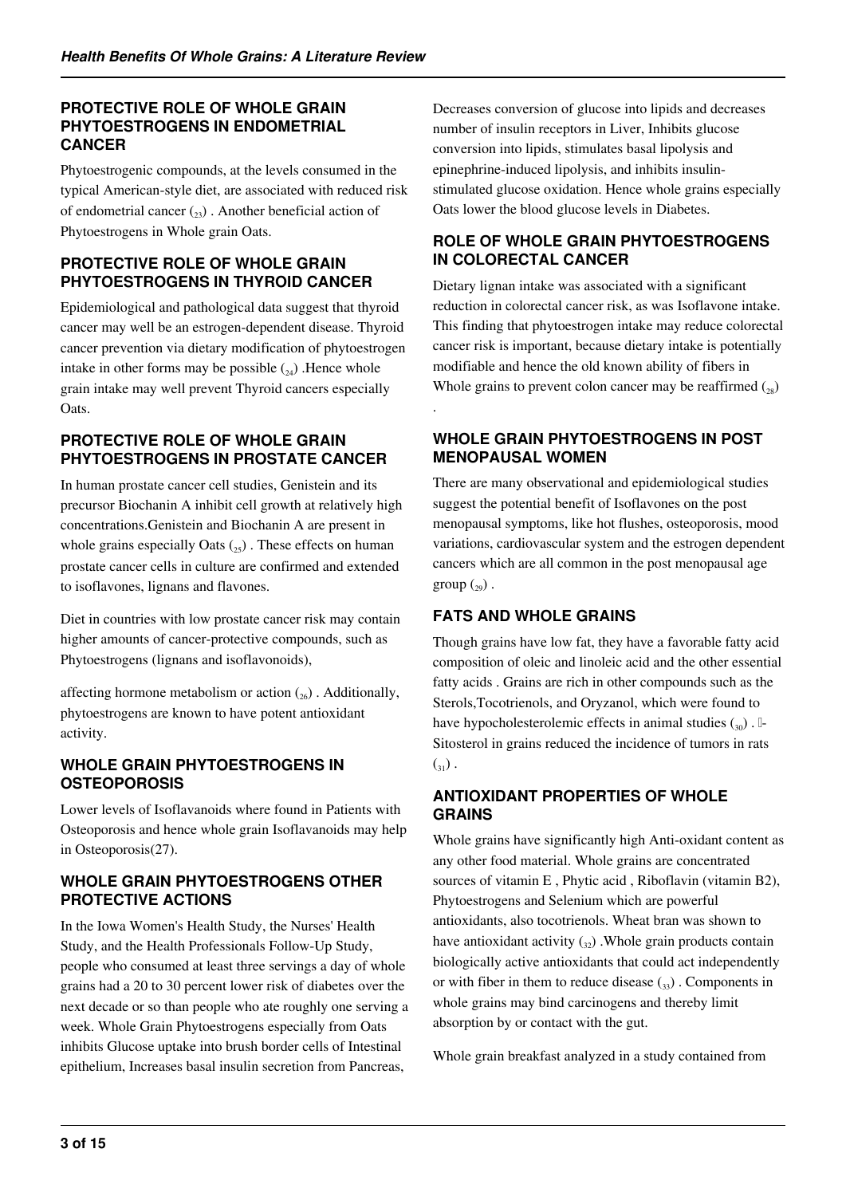#### **PROTECTIVE ROLE OF WHOLE GRAIN PHYTOESTROGENS IN ENDOMETRIAL CANCER**

Phytoestrogenic compounds, at the levels consumed in the typical American-style diet, are associated with reduced risk of endometrial cancer  $\binom{2}{2}$ . Another beneficial action of Phytoestrogens in Whole grain Oats.

## **PROTECTIVE ROLE OF WHOLE GRAIN PHYTOESTROGENS IN THYROID CANCER**

Epidemiological and pathological data suggest that thyroid cancer may well be an estrogen-dependent disease. Thyroid cancer prevention via dietary modification of phytoestrogen intake in other forms may be possible  $\binom{2}{2}$ . Hence whole grain intake may well prevent Thyroid cancers especially Oats.

## **PROTECTIVE ROLE OF WHOLE GRAIN PHYTOESTROGENS IN PROSTATE CANCER**

In human prostate cancer cell studies, Genistein and its precursor Biochanin A inhibit cell growth at relatively high concentrations.Genistein and Biochanin A are present in whole grains especially Oats  $(25)$ . These effects on human prostate cancer cells in culture are confirmed and extended to isoflavones, lignans and flavones.

Diet in countries with low prostate cancer risk may contain higher amounts of cancer-protective compounds, such as Phytoestrogens (lignans and isoflavonoids),

affecting hormone metabolism or action  $\binom{1}{26}$ . Additionally, phytoestrogens are known to have potent antioxidant activity.

#### **WHOLE GRAIN PHYTOESTROGENS IN OSTEOPOROSIS**

Lower levels of Isoflavanoids where found in Patients with Osteoporosis and hence whole grain Isoflavanoids may help in Osteoporosis(27).

## **WHOLE GRAIN PHYTOESTROGENS OTHER PROTECTIVE ACTIONS**

In the Iowa Women's Health Study, the Nurses' Health Study, and the Health Professionals Follow-Up Study, people who consumed at least three servings a day of whole grains had a 20 to 30 percent lower risk of diabetes over the next decade or so than people who ate roughly one serving a week. Whole Grain Phytoestrogens especially from Oats inhibits Glucose uptake into brush border cells of Intestinal epithelium, Increases basal insulin secretion from Pancreas,

Decreases conversion of glucose into lipids and decreases number of insulin receptors in Liver, Inhibits glucose conversion into lipids, stimulates basal lipolysis and epinephrine-induced lipolysis, and inhibits insulinstimulated glucose oxidation. Hence whole grains especially Oats lower the blood glucose levels in Diabetes.

## **ROLE OF WHOLE GRAIN PHYTOESTROGENS IN COLORECTAL CANCER**

Dietary lignan intake was associated with a significant reduction in colorectal cancer risk, as was Isoflavone intake. This finding that phytoestrogen intake may reduce colorectal cancer risk is important, because dietary intake is potentially modifiable and hence the old known ability of fibers in Whole grains to prevent colon cancer may be reaffirmed  $\binom{28}{28}$ 

## **WHOLE GRAIN PHYTOESTROGENS IN POST MENOPAUSAL WOMEN**

There are many observational and epidemiological studies suggest the potential benefit of Isoflavones on the post menopausal symptoms, like hot flushes, osteoporosis, mood variations, cardiovascular system and the estrogen dependent cancers which are all common in the post menopausal age group  $\binom{29}{29}$ .

## **FATS AND WHOLE GRAINS**

.

Though grains have low fat, they have a favorable fatty acid composition of oleic and linoleic acid and the other essential fatty acids . Grains are rich in other compounds such as the Sterols,Tocotrienols, and Oryzanol, which were found to have hypocholesterolemic effects in animal studies  $\binom{30}{30}$ . β-Sitosterol in grains reduced the incidence of tumors in rats  $\binom{31}{2}$ .

## **ANTIOXIDANT PROPERTIES OF WHOLE GRAINS**

Whole grains have significantly high Anti-oxidant content as any other food material. Whole grains are concentrated sources of vitamin E , Phytic acid , Riboflavin (vitamin B2), Phytoestrogens and Selenium which are powerful antioxidants, also tocotrienols. Wheat bran was shown to have antioxidant activity  $\binom{32}{2}$ . Whole grain products contain biologically active antioxidants that could act independently or with fiber in them to reduce disease  $\binom{33}{13}$ . Components in whole grains may bind carcinogens and thereby limit absorption by or contact with the gut.

Whole grain breakfast analyzed in a study contained from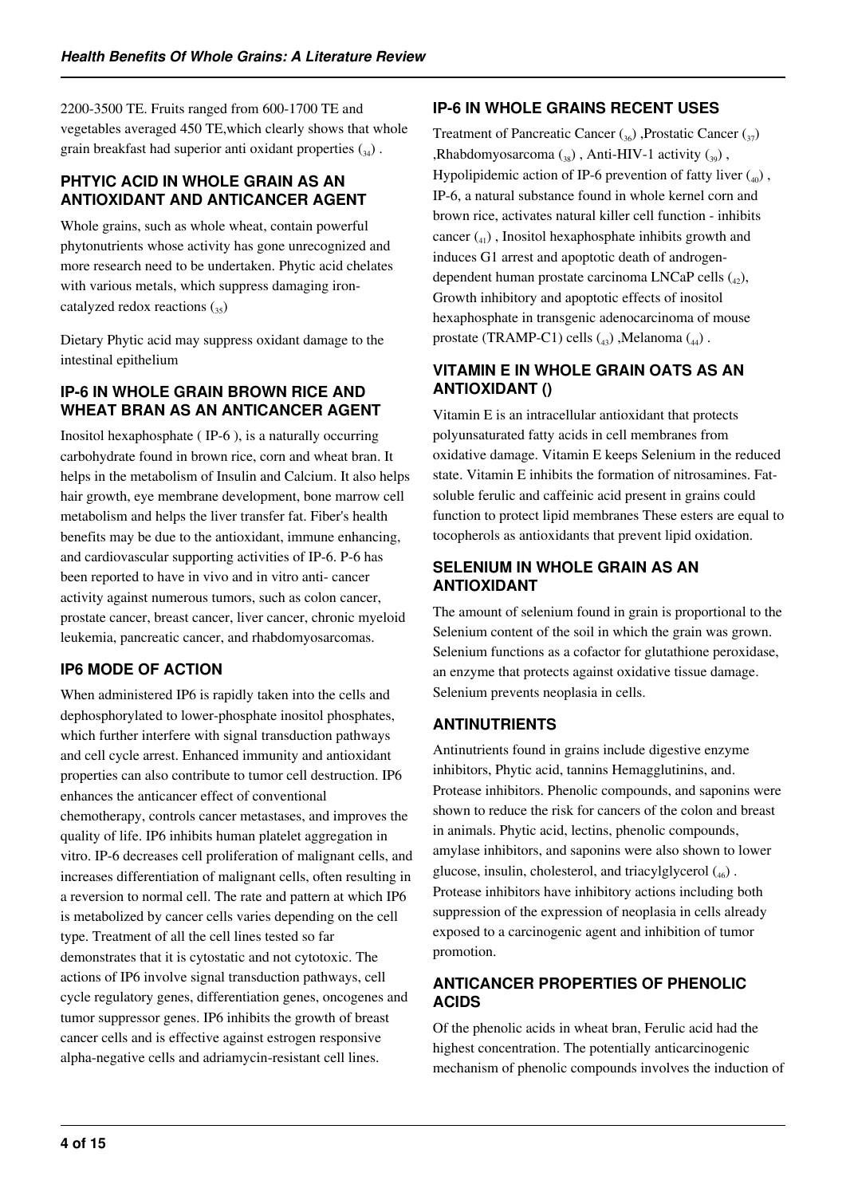2200-3500 TE. Fruits ranged from 600-1700 TE and vegetables averaged 450 TE,which clearly shows that whole grain breakfast had superior anti oxidant properties  $\binom{34}{4}$ .

## **PHTYIC ACID IN WHOLE GRAIN AS AN ANTIOXIDANT AND ANTICANCER AGENT**

Whole grains, such as whole wheat, contain powerful phytonutrients whose activity has gone unrecognized and more research need to be undertaken. Phytic acid chelates with various metals, which suppress damaging ironcatalyzed redox reactions  $\binom{35}{25}$ 

Dietary Phytic acid may suppress oxidant damage to the intestinal epithelium

## **IP-6 IN WHOLE GRAIN BROWN RICE AND WHEAT BRAN AS AN ANTICANCER AGENT**

Inositol hexaphosphate ( IP-6 ), is a naturally occurring carbohydrate found in brown rice, corn and wheat bran. It helps in the metabolism of Insulin and Calcium. It also helps hair growth, eye membrane development, bone marrow cell metabolism and helps the liver transfer fat. Fiber's health benefits may be due to the antioxidant, immune enhancing, and cardiovascular supporting activities of IP-6. P-6 has been reported to have in vivo and in vitro anti- cancer activity against numerous tumors, such as colon cancer, prostate cancer, breast cancer, liver cancer, chronic myeloid leukemia, pancreatic cancer, and rhabdomyosarcomas.

## **IP6 MODE OF ACTION**

When administered IP6 is rapidly taken into the cells and dephosphorylated to lower-phosphate inositol phosphates, which further interfere with signal transduction pathways and cell cycle arrest. Enhanced immunity and antioxidant properties can also contribute to tumor cell destruction. IP6 enhances the anticancer effect of conventional chemotherapy, controls cancer metastases, and improves the quality of life. IP6 inhibits human platelet aggregation in vitro. IP-6 decreases cell proliferation of malignant cells, and increases differentiation of malignant cells, often resulting in a reversion to normal cell. The rate and pattern at which IP6 is metabolized by cancer cells varies depending on the cell type. Treatment of all the cell lines tested so far demonstrates that it is cytostatic and not cytotoxic. The actions of IP6 involve signal transduction pathways, cell cycle regulatory genes, differentiation genes, oncogenes and tumor suppressor genes. IP6 inhibits the growth of breast cancer cells and is effective against estrogen responsive alpha-negative cells and adriamycin-resistant cell lines.

## **IP-6 IN WHOLE GRAINS RECENT USES**

Treatment of Pancreatic Cancer  $\binom{36}{36}$ , Prostatic Cancer  $\binom{37}{37}$ ,Rhabdomyosarcoma  $(s_8)$ , Anti-HIV-1 activity  $(s_9)$ , Hypolipidemic action of IP-6 prevention of fatty liver  $\binom{40}{40}$ , IP-6, a natural substance found in whole kernel corn and brown rice, activates natural killer cell function - inhibits cancer  $\binom{4}{4}$ , Inositol hexaphosphate inhibits growth and induces G1 arrest and apoptotic death of androgendependent human prostate carcinoma LNCaP cells  $(4, 2)$ , Growth inhibitory and apoptotic effects of inositol hexaphosphate in transgenic adenocarcinoma of mouse prostate (TRAMP-C1) cells  $\binom{4}{4}$ , Melanoma  $\binom{4}{4}$ .

## **VITAMIN E IN WHOLE GRAIN OATS AS AN ANTIOXIDANT ()**

Vitamin E is an intracellular antioxidant that protects polyunsaturated fatty acids in cell membranes from oxidative damage. Vitamin E keeps Selenium in the reduced state. Vitamin E inhibits the formation of nitrosamines. Fatsoluble ferulic and caffeinic acid present in grains could function to protect lipid membranes These esters are equal to tocopherols as antioxidants that prevent lipid oxidation.

#### **SELENIUM IN WHOLE GRAIN AS AN ANTIOXIDANT**

The amount of selenium found in grain is proportional to the Selenium content of the soil in which the grain was grown. Selenium functions as a cofactor for glutathione peroxidase, an enzyme that protects against oxidative tissue damage. Selenium prevents neoplasia in cells.

## **ANTINUTRIENTS**

Antinutrients found in grains include digestive enzyme inhibitors, Phytic acid, tannins Hemagglutinins, and. Protease inhibitors. Phenolic compounds, and saponins were shown to reduce the risk for cancers of the colon and breast in animals. Phytic acid, lectins, phenolic compounds, amylase inhibitors, and saponins were also shown to lower glucose, insulin, cholesterol, and triacylglycerol  $\binom{46}{46}$ . Protease inhibitors have inhibitory actions including both suppression of the expression of neoplasia in cells already exposed to a carcinogenic agent and inhibition of tumor promotion.

## **ANTICANCER PROPERTIES OF PHENOLIC ACIDS**

Of the phenolic acids in wheat bran, Ferulic acid had the highest concentration. The potentially anticarcinogenic mechanism of phenolic compounds involves the induction of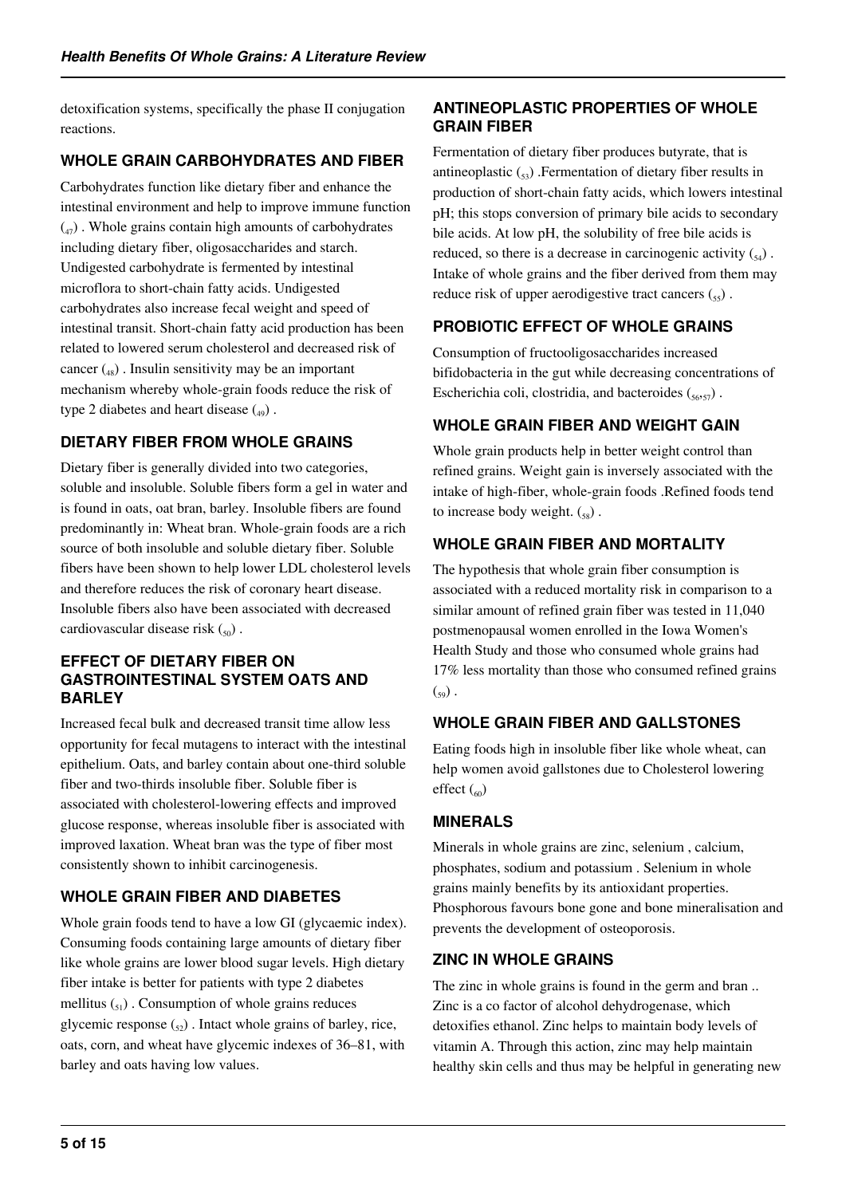detoxification systems, specifically the phase II conjugation reactions.

## **WHOLE GRAIN CARBOHYDRATES AND FIBER**

Carbohydrates function like dietary fiber and enhance the intestinal environment and help to improve immune function  $\binom{47}{47}$ . Whole grains contain high amounts of carbohydrates including dietary fiber, oligosaccharides and starch. Undigested carbohydrate is fermented by intestinal microflora to short-chain fatty acids. Undigested carbohydrates also increase fecal weight and speed of intestinal transit. Short-chain fatty acid production has been related to lowered serum cholesterol and decreased risk of cancer  $\binom{48}{48}$ . Insulin sensitivity may be an important mechanism whereby whole-grain foods reduce the risk of type 2 diabetes and heart disease  $(_{49})$ .

## **DIETARY FIBER FROM WHOLE GRAINS**

Dietary fiber is generally divided into two categories, soluble and insoluble. Soluble fibers form a gel in water and is found in oats, oat bran, barley. Insoluble fibers are found predominantly in: Wheat bran. Whole-grain foods are a rich source of both insoluble and soluble dietary fiber. Soluble fibers have been shown to help lower LDL cholesterol levels and therefore reduces the risk of coronary heart disease. Insoluble fibers also have been associated with decreased cardiovascular disease risk  $(s_0)$ .

#### **EFFECT OF DIETARY FIBER ON GASTROINTESTINAL SYSTEM OATS AND BARLEY**

Increased fecal bulk and decreased transit time allow less opportunity for fecal mutagens to interact with the intestinal epithelium. Oats, and barley contain about one-third soluble fiber and two-thirds insoluble fiber. Soluble fiber is associated with cholesterol-lowering effects and improved glucose response, whereas insoluble fiber is associated with improved laxation. Wheat bran was the type of fiber most consistently shown to inhibit carcinogenesis.

## **WHOLE GRAIN FIBER AND DIABETES**

Whole grain foods tend to have a low GI (glycaemic index). Consuming foods containing large amounts of dietary fiber like whole grains are lower blood sugar levels. High dietary fiber intake is better for patients with type 2 diabetes mellitus  $\binom{5}{1}$ . Consumption of whole grains reduces glycemic response  $\binom{5}{2}$ . Intact whole grains of barley, rice, oats, corn, and wheat have glycemic indexes of 36–81, with barley and oats having low values.

## **ANTINEOPLASTIC PROPERTIES OF WHOLE GRAIN FIBER**

Fermentation of dietary fiber produces butyrate, that is antineoplastic  $\binom{5}{5}$ . Fermentation of dietary fiber results in production of short-chain fatty acids, which lowers intestinal pH; this stops conversion of primary bile acids to secondary bile acids. At low pH, the solubility of free bile acids is reduced, so there is a decrease in carcinogenic activity  $\binom{54}{64}$ . Intake of whole grains and the fiber derived from them may reduce risk of upper aerodigestive tract cancers  $(s<sub>5</sub>)$ .

## **PROBIOTIC EFFECT OF WHOLE GRAINS**

Consumption of fructooligosaccharides increased bifidobacteria in the gut while decreasing concentrations of Escherichia coli, clostridia, and bacteroides  $(56,57)$ .

## **WHOLE GRAIN FIBER AND WEIGHT GAIN**

Whole grain products help in better weight control than refined grains. Weight gain is inversely associated with the intake of high-fiber, whole-grain foods .Refined foods tend to increase body weight.  $(s_8)$ .

## **WHOLE GRAIN FIBER AND MORTALITY**

The hypothesis that whole grain fiber consumption is associated with a reduced mortality risk in comparison to a similar amount of refined grain fiber was tested in 11,040 postmenopausal women enrolled in the Iowa Women's Health Study and those who consumed whole grains had 17% less mortality than those who consumed refined grains  $(59)$ .

## **WHOLE GRAIN FIBER AND GALLSTONES**

Eating foods high in insoluble fiber like whole wheat, can help women avoid gallstones due to Cholesterol lowering effect  $\binom{60}{60}$ 

## **MINERALS**

Minerals in whole grains are zinc, selenium , calcium, phosphates, sodium and potassium . Selenium in whole grains mainly benefits by its antioxidant properties. Phosphorous favours bone gone and bone mineralisation and prevents the development of osteoporosis.

#### **ZINC IN WHOLE GRAINS**

The zinc in whole grains is found in the germ and bran .. Zinc is a co factor of alcohol dehydrogenase, which detoxifies ethanol. Zinc helps to maintain body levels of vitamin A. Through this action, zinc may help maintain healthy skin cells and thus may be helpful in generating new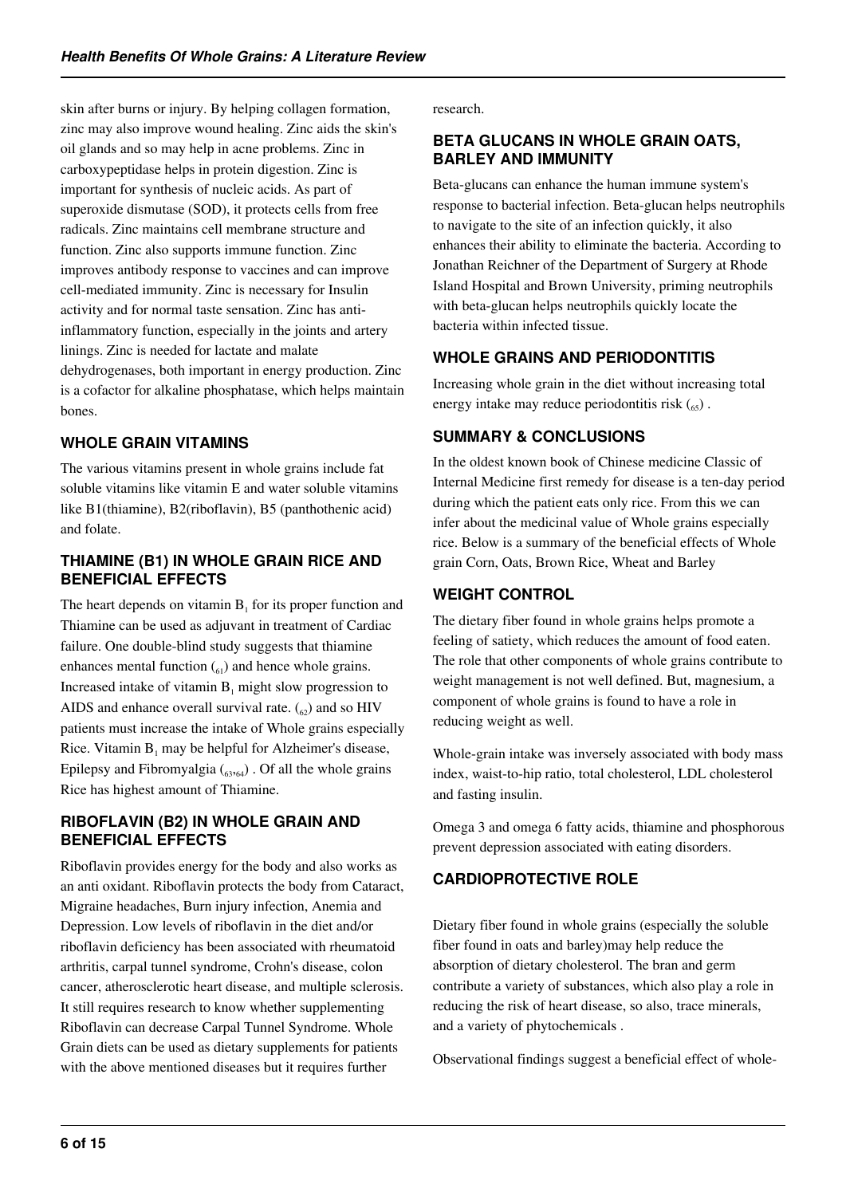skin after burns or injury. By helping collagen formation, zinc may also improve wound healing. Zinc aids the skin's oil glands and so may help in acne problems. Zinc in carboxypeptidase helps in protein digestion. Zinc is important for synthesis of nucleic acids. As part of superoxide dismutase (SOD), it protects cells from free radicals. Zinc maintains cell membrane structure and function. Zinc also supports immune function. Zinc improves antibody response to vaccines and can improve cell-mediated immunity. Zinc is necessary for Insulin activity and for normal taste sensation. Zinc has antiinflammatory function, especially in the joints and artery linings. Zinc is needed for lactate and malate dehydrogenases, both important in energy production. Zinc is a cofactor for alkaline phosphatase, which helps maintain bones.

# **WHOLE GRAIN VITAMINS**

The various vitamins present in whole grains include fat soluble vitamins like vitamin E and water soluble vitamins like B1(thiamine), B2(riboflavin), B5 (panthothenic acid) and folate.

## **THIAMINE (B1) IN WHOLE GRAIN RICE AND BENEFICIAL EFFECTS**

The heart depends on vitamin  $B_1$  for its proper function and Thiamine can be used as adjuvant in treatment of Cardiac failure. One double-blind study suggests that thiamine enhances mental function  $\binom{61}{1}$  and hence whole grains. Increased intake of vitamin  $B_1$  might slow progression to AIDS and enhance overall survival rate.  $\binom{6}{2}$  and so HIV patients must increase the intake of Whole grains especially Rice. Vitamin  $B_1$  may be helpful for Alzheimer's disease, Epilepsy and Fibromyalgia  $\binom{63,64}{}$ . Of all the whole grains Rice has highest amount of Thiamine.

## **RIBOFLAVIN (B2) IN WHOLE GRAIN AND BENEFICIAL EFFECTS**

Riboflavin provides energy for the body and also works as an anti oxidant. Riboflavin protects the body from Cataract, Migraine headaches, Burn injury infection, Anemia and Depression. Low levels of riboflavin in the diet and/or riboflavin deficiency has been associated with rheumatoid arthritis, carpal tunnel syndrome, Crohn's disease, colon cancer, atherosclerotic heart disease, and multiple sclerosis. It still requires research to know whether supplementing Riboflavin can decrease Carpal Tunnel Syndrome. Whole Grain diets can be used as dietary supplements for patients with the above mentioned diseases but it requires further

research.

# **BETA GLUCANS IN WHOLE GRAIN OATS, BARLEY AND IMMUNITY**

Beta-glucans can enhance the human immune system's response to bacterial infection. Beta-glucan helps neutrophils to navigate to the site of an infection quickly, it also enhances their ability to eliminate the bacteria. According to Jonathan Reichner of the Department of Surgery at Rhode Island Hospital and Brown University, priming neutrophils with beta-glucan helps neutrophils quickly locate the bacteria within infected tissue.

# **WHOLE GRAINS AND PERIODONTITIS**

Increasing whole grain in the diet without increasing total energy intake may reduce periodontitis risk  $\binom{65}{65}$ .

# **SUMMARY & CONCLUSIONS**

In the oldest known book of Chinese medicine Classic of Internal Medicine first remedy for disease is a ten-day period during which the patient eats only rice. From this we can infer about the medicinal value of Whole grains especially rice. Below is a summary of the beneficial effects of Whole grain Corn, Oats, Brown Rice, Wheat and Barley

## **WEIGHT CONTROL**

The dietary fiber found in whole grains helps promote a feeling of satiety, which reduces the amount of food eaten. The role that other components of whole grains contribute to weight management is not well defined. But, magnesium, a component of whole grains is found to have a role in reducing weight as well.

Whole-grain intake was inversely associated with body mass index, waist-to-hip ratio, total cholesterol, LDL cholesterol and fasting insulin.

Omega 3 and omega 6 fatty acids, thiamine and phosphorous prevent depression associated with eating disorders.

## **CARDIOPROTECTIVE ROLE**

Dietary fiber found in whole grains (especially the soluble fiber found in oats and barley)may help reduce the absorption of dietary cholesterol. The bran and germ contribute a variety of substances, which also play a role in reducing the risk of heart disease, so also, trace minerals, and a variety of phytochemicals .

Observational findings suggest a beneficial effect of whole-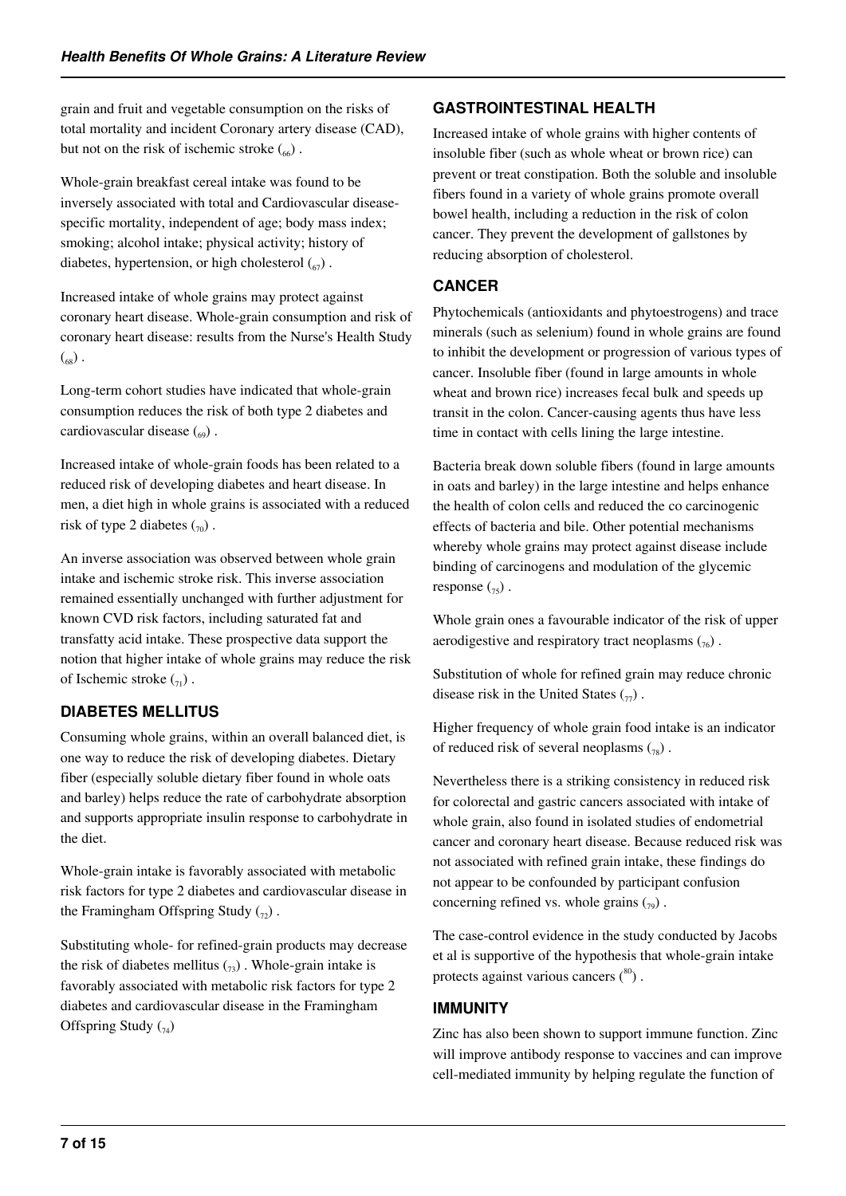grain and fruit and vegetable consumption on the risks of total mortality and incident Coronary artery disease (CAD), but not on the risk of ischemic stroke  $\binom{66}{66}$ .

Whole-grain breakfast cereal intake was found to be inversely associated with total and Cardiovascular diseasespecific mortality, independent of age; body mass index; smoking; alcohol intake; physical activity; history of diabetes, hypertension, or high cholesterol  $\binom{67}{67}$ .

Increased intake of whole grains may protect against coronary heart disease. Whole-grain consumption and risk of coronary heart disease: results from the Nurse's Health Study  $\binom{68}{}$ .

Long-term cohort studies have indicated that whole-grain consumption reduces the risk of both type 2 diabetes and cardiovascular disease  $\binom{60}{6}$ .

Increased intake of whole-grain foods has been related to a reduced risk of developing diabetes and heart disease. In men, a diet high in whole grains is associated with a reduced risk of type 2 diabetes  $\binom{70}{2}$ .

An inverse association was observed between whole grain intake and ischemic stroke risk. This inverse association remained essentially unchanged with further adjustment for known CVD risk factors, including saturated fat and transfatty acid intake. These prospective data support the notion that higher intake of whole grains may reduce the risk of Ischemic stroke  $\binom{7}{1}$ .

## **DIABETES MELLITUS**

Consuming whole grains, within an overall balanced diet, is one way to reduce the risk of developing diabetes. Dietary fiber (especially soluble dietary fiber found in whole oats and barley) helps reduce the rate of carbohydrate absorption and supports appropriate insulin response to carbohydrate in the diet.

Whole-grain intake is favorably associated with metabolic risk factors for type 2 diabetes and cardiovascular disease in the Framingham Offspring Study  $\binom{7}{2}$ .

Substituting whole- for refined-grain products may decrease the risk of diabetes mellitus  $\binom{7}{2}$ . Whole-grain intake is favorably associated with metabolic risk factors for type 2 diabetes and cardiovascular disease in the Framingham Offspring Study  $_{74}$ )

## **GASTROINTESTINAL HEALTH**

Increased intake of whole grains with higher contents of insoluble fiber (such as whole wheat or brown rice) can prevent or treat constipation. Both the soluble and insoluble fibers found in a variety of whole grains promote overall bowel health, including a reduction in the risk of colon cancer. They prevent the development of gallstones by reducing absorption of cholesterol.

## **CANCER**

Phytochemicals (antioxidants and phytoestrogens) and trace minerals (such as selenium) found in whole grains are found to inhibit the development or progression of various types of cancer. Insoluble fiber (found in large amounts in whole wheat and brown rice) increases fecal bulk and speeds up transit in the colon. Cancer-causing agents thus have less time in contact with cells lining the large intestine.

Bacteria break down soluble fibers (found in large amounts in oats and barley) in the large intestine and helps enhance the health of colon cells and reduced the co carcinogenic effects of bacteria and bile. Other potential mechanisms whereby whole grains may protect against disease include binding of carcinogens and modulation of the glycemic response  $\binom{7}{75}$ .

Whole grain ones a favourable indicator of the risk of upper aerodigestive and respiratory tract neoplasms  $\binom{76}{16}$ .

Substitution of whole for refined grain may reduce chronic disease risk in the United States  $\binom{7}{7}$ .

Higher frequency of whole grain food intake is an indicator of reduced risk of several neoplasms  $_{78}$ ).

Nevertheless there is a striking consistency in reduced risk for colorectal and gastric cancers associated with intake of whole grain, also found in isolated studies of endometrial cancer and coronary heart disease. Because reduced risk was not associated with refined grain intake, these findings do not appear to be confounded by participant confusion concerning refined vs. whole grains  $\binom{79}{6}$ .

The case-control evidence in the study conducted by Jacobs et al is supportive of the hypothesis that whole-grain intake protects against various cancers  $(^{80})$ .

#### **IMMUNITY**

Zinc has also been shown to support immune function. Zinc will improve antibody response to vaccines and can improve cell-mediated immunity by helping regulate the function of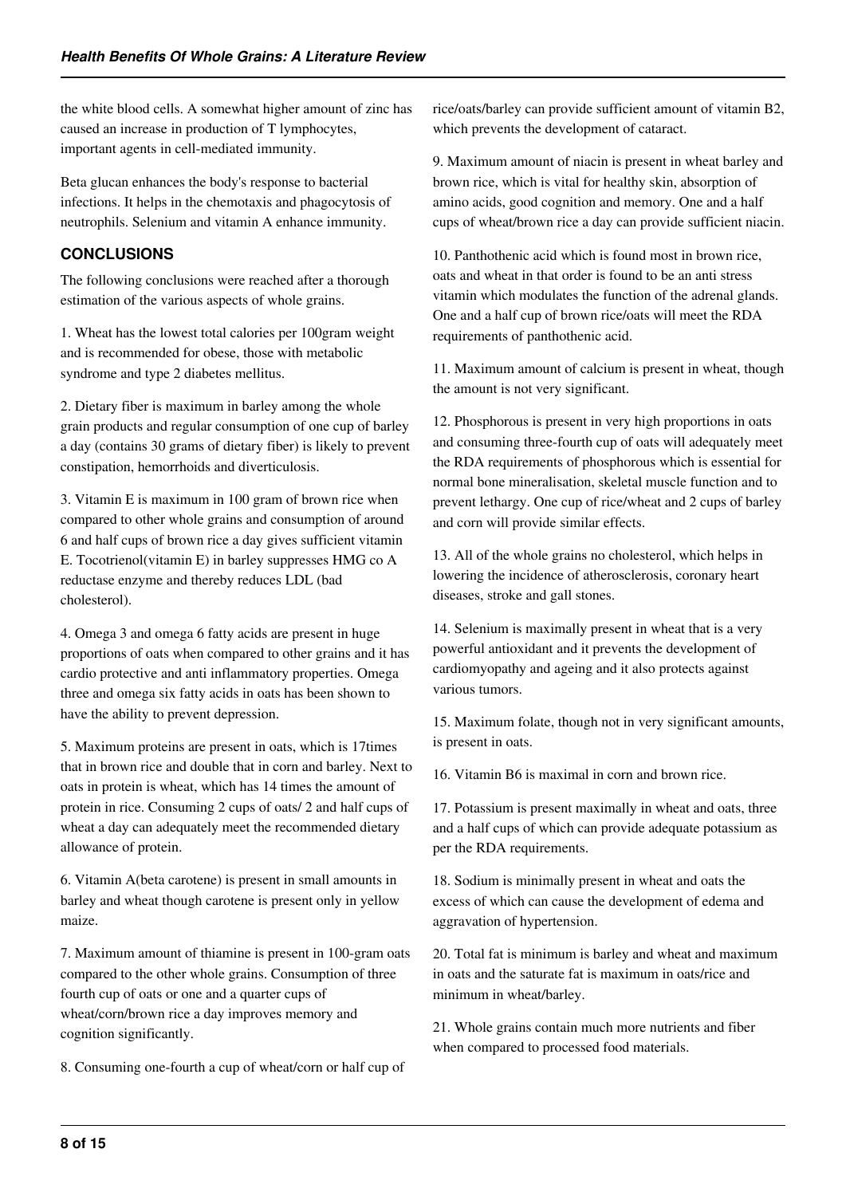the white blood cells. A somewhat higher amount of zinc has caused an increase in production of T lymphocytes, important agents in cell-mediated immunity.

Beta glucan enhances the body's response to bacterial infections. It helps in the chemotaxis and phagocytosis of neutrophils. Selenium and vitamin A enhance immunity.

## **CONCLUSIONS**

The following conclusions were reached after a thorough estimation of the various aspects of whole grains.

1. Wheat has the lowest total calories per 100gram weight and is recommended for obese, those with metabolic syndrome and type 2 diabetes mellitus.

2. Dietary fiber is maximum in barley among the whole grain products and regular consumption of one cup of barley a day (contains 30 grams of dietary fiber) is likely to prevent constipation, hemorrhoids and diverticulosis.

3. Vitamin E is maximum in 100 gram of brown rice when compared to other whole grains and consumption of around 6 and half cups of brown rice a day gives sufficient vitamin E. Tocotrienol(vitamin E) in barley suppresses HMG co A reductase enzyme and thereby reduces LDL (bad cholesterol).

4. Omega 3 and omega 6 fatty acids are present in huge proportions of oats when compared to other grains and it has cardio protective and anti inflammatory properties. Omega three and omega six fatty acids in oats has been shown to have the ability to prevent depression.

5. Maximum proteins are present in oats, which is 17times that in brown rice and double that in corn and barley. Next to oats in protein is wheat, which has 14 times the amount of protein in rice. Consuming 2 cups of oats/ 2 and half cups of wheat a day can adequately meet the recommended dietary allowance of protein.

6. Vitamin A(beta carotene) is present in small amounts in barley and wheat though carotene is present only in yellow maize.

7. Maximum amount of thiamine is present in 100-gram oats compared to the other whole grains. Consumption of three fourth cup of oats or one and a quarter cups of wheat/corn/brown rice a day improves memory and cognition significantly.

8. Consuming one-fourth a cup of wheat/corn or half cup of

rice/oats/barley can provide sufficient amount of vitamin B2, which prevents the development of cataract.

9. Maximum amount of niacin is present in wheat barley and brown rice, which is vital for healthy skin, absorption of amino acids, good cognition and memory. One and a half cups of wheat/brown rice a day can provide sufficient niacin.

10. Panthothenic acid which is found most in brown rice, oats and wheat in that order is found to be an anti stress vitamin which modulates the function of the adrenal glands. One and a half cup of brown rice/oats will meet the RDA requirements of panthothenic acid.

11. Maximum amount of calcium is present in wheat, though the amount is not very significant.

12. Phosphorous is present in very high proportions in oats and consuming three-fourth cup of oats will adequately meet the RDA requirements of phosphorous which is essential for normal bone mineralisation, skeletal muscle function and to prevent lethargy. One cup of rice/wheat and 2 cups of barley and corn will provide similar effects.

13. All of the whole grains no cholesterol, which helps in lowering the incidence of atherosclerosis, coronary heart diseases, stroke and gall stones.

14. Selenium is maximally present in wheat that is a very powerful antioxidant and it prevents the development of cardiomyopathy and ageing and it also protects against various tumors.

15. Maximum folate, though not in very significant amounts, is present in oats.

16. Vitamin B6 is maximal in corn and brown rice.

17. Potassium is present maximally in wheat and oats, three and a half cups of which can provide adequate potassium as per the RDA requirements.

18. Sodium is minimally present in wheat and oats the excess of which can cause the development of edema and aggravation of hypertension.

20. Total fat is minimum is barley and wheat and maximum in oats and the saturate fat is maximum in oats/rice and minimum in wheat/barley.

21. Whole grains contain much more nutrients and fiber when compared to processed food materials.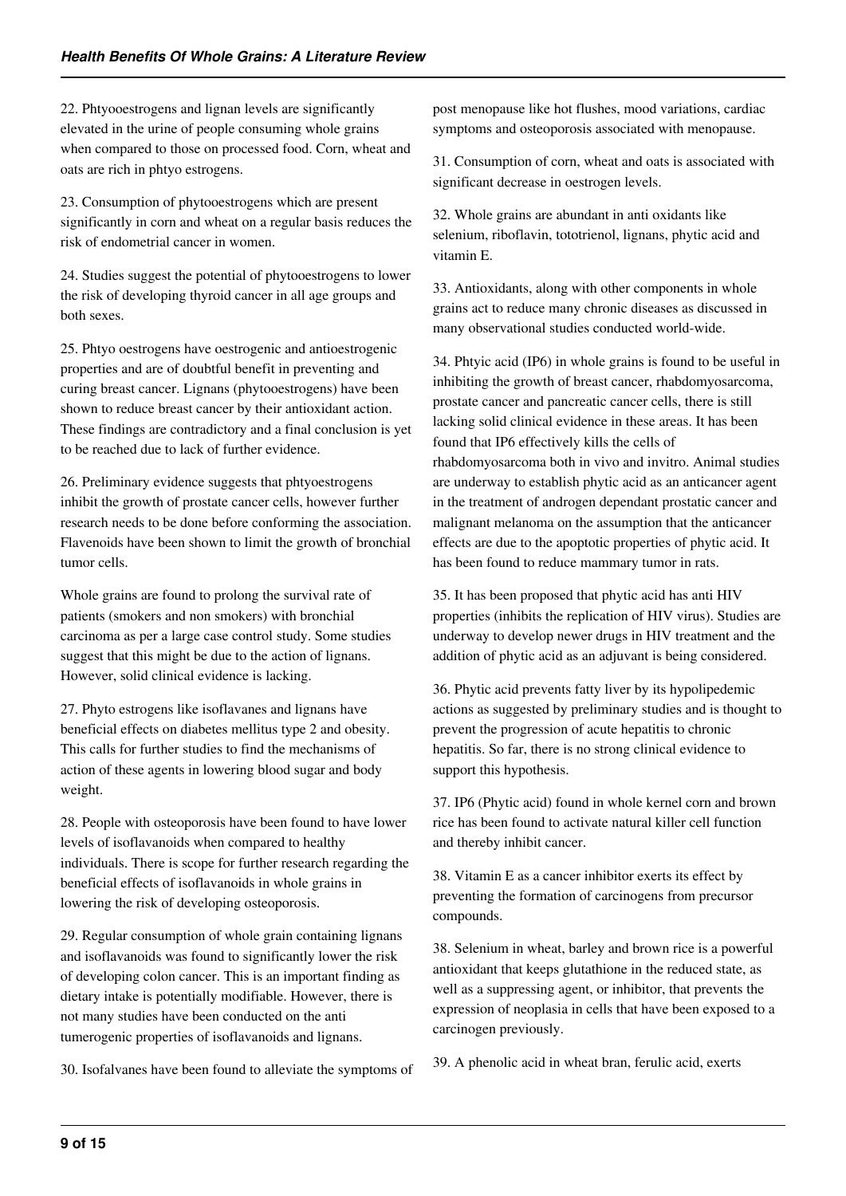22. Phtyooestrogens and lignan levels are significantly elevated in the urine of people consuming whole grains when compared to those on processed food. Corn, wheat and oats are rich in phtyo estrogens.

23. Consumption of phytooestrogens which are present significantly in corn and wheat on a regular basis reduces the risk of endometrial cancer in women.

24. Studies suggest the potential of phytooestrogens to lower the risk of developing thyroid cancer in all age groups and both sexes.

25. Phtyo oestrogens have oestrogenic and antioestrogenic properties and are of doubtful benefit in preventing and curing breast cancer. Lignans (phytooestrogens) have been shown to reduce breast cancer by their antioxidant action. These findings are contradictory and a final conclusion is yet to be reached due to lack of further evidence.

26. Preliminary evidence suggests that phtyoestrogens inhibit the growth of prostate cancer cells, however further research needs to be done before conforming the association. Flavenoids have been shown to limit the growth of bronchial tumor cells.

Whole grains are found to prolong the survival rate of patients (smokers and non smokers) with bronchial carcinoma as per a large case control study. Some studies suggest that this might be due to the action of lignans. However, solid clinical evidence is lacking.

27. Phyto estrogens like isoflavanes and lignans have beneficial effects on diabetes mellitus type 2 and obesity. This calls for further studies to find the mechanisms of action of these agents in lowering blood sugar and body weight.

28. People with osteoporosis have been found to have lower levels of isoflavanoids when compared to healthy individuals. There is scope for further research regarding the beneficial effects of isoflavanoids in whole grains in lowering the risk of developing osteoporosis.

29. Regular consumption of whole grain containing lignans and isoflavanoids was found to significantly lower the risk of developing colon cancer. This is an important finding as dietary intake is potentially modifiable. However, there is not many studies have been conducted on the anti tumerogenic properties of isoflavanoids and lignans.

30. Isofalvanes have been found to alleviate the symptoms of

post menopause like hot flushes, mood variations, cardiac symptoms and osteoporosis associated with menopause.

31. Consumption of corn, wheat and oats is associated with significant decrease in oestrogen levels.

32. Whole grains are abundant in anti oxidants like selenium, riboflavin, tototrienol, lignans, phytic acid and vitamin E.

33. Antioxidants, along with other components in whole grains act to reduce many chronic diseases as discussed in many observational studies conducted world-wide.

34. Phtyic acid (IP6) in whole grains is found to be useful in inhibiting the growth of breast cancer, rhabdomyosarcoma, prostate cancer and pancreatic cancer cells, there is still lacking solid clinical evidence in these areas. It has been found that IP6 effectively kills the cells of rhabdomyosarcoma both in vivo and invitro. Animal studies are underway to establish phytic acid as an anticancer agent in the treatment of androgen dependant prostatic cancer and malignant melanoma on the assumption that the anticancer effects are due to the apoptotic properties of phytic acid. It has been found to reduce mammary tumor in rats.

35. It has been proposed that phytic acid has anti HIV properties (inhibits the replication of HIV virus). Studies are underway to develop newer drugs in HIV treatment and the addition of phytic acid as an adjuvant is being considered.

36. Phytic acid prevents fatty liver by its hypolipedemic actions as suggested by preliminary studies and is thought to prevent the progression of acute hepatitis to chronic hepatitis. So far, there is no strong clinical evidence to support this hypothesis.

37. IP6 (Phytic acid) found in whole kernel corn and brown rice has been found to activate natural killer cell function and thereby inhibit cancer.

38. Vitamin E as a cancer inhibitor exerts its effect by preventing the formation of carcinogens from precursor compounds.

38. Selenium in wheat, barley and brown rice is a powerful antioxidant that keeps glutathione in the reduced state, as well as a suppressing agent, or inhibitor, that prevents the expression of neoplasia in cells that have been exposed to a carcinogen previously.

39. A phenolic acid in wheat bran, ferulic acid, exerts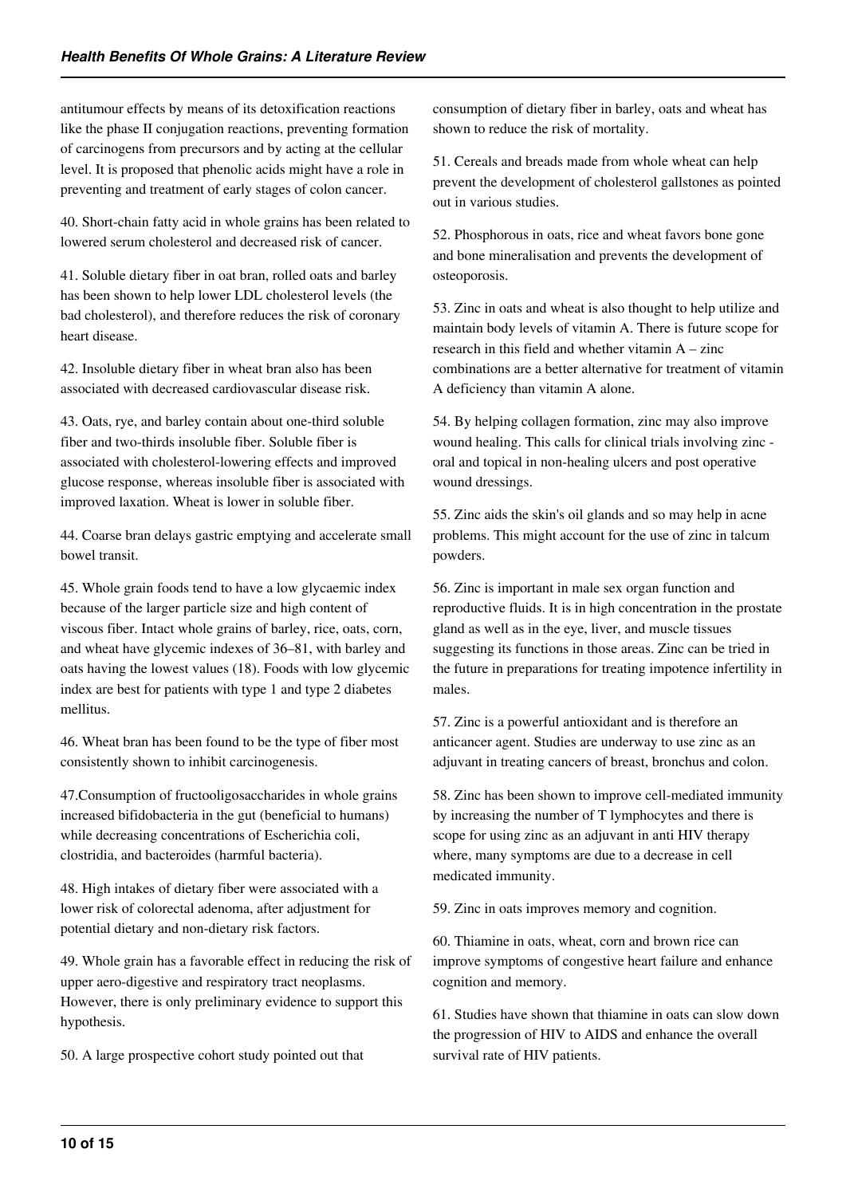antitumour effects by means of its detoxification reactions like the phase II conjugation reactions, preventing formation of carcinogens from precursors and by acting at the cellular level. It is proposed that phenolic acids might have a role in preventing and treatment of early stages of colon cancer.

40. Short-chain fatty acid in whole grains has been related to lowered serum cholesterol and decreased risk of cancer.

41. Soluble dietary fiber in oat bran, rolled oats and barley has been shown to help lower LDL cholesterol levels (the bad cholesterol), and therefore reduces the risk of coronary heart disease.

42. Insoluble dietary fiber in wheat bran also has been associated with decreased cardiovascular disease risk.

43. Oats, rye, and barley contain about one-third soluble fiber and two-thirds insoluble fiber. Soluble fiber is associated with cholesterol-lowering effects and improved glucose response, whereas insoluble fiber is associated with improved laxation. Wheat is lower in soluble fiber.

44. Coarse bran delays gastric emptying and accelerate small bowel transit.

45. Whole grain foods tend to have a low glycaemic index because of the larger particle size and high content of viscous fiber. Intact whole grains of barley, rice, oats, corn, and wheat have glycemic indexes of 36–81, with barley and oats having the lowest values (18). Foods with low glycemic index are best for patients with type 1 and type 2 diabetes mellitus.

46. Wheat bran has been found to be the type of fiber most consistently shown to inhibit carcinogenesis.

47.Consumption of fructooligosaccharides in whole grains increased bifidobacteria in the gut (beneficial to humans) while decreasing concentrations of Escherichia coli, clostridia, and bacteroides (harmful bacteria).

48. High intakes of dietary fiber were associated with a lower risk of colorectal adenoma, after adjustment for potential dietary and non-dietary risk factors.

49. Whole grain has a favorable effect in reducing the risk of upper aero-digestive and respiratory tract neoplasms. However, there is only preliminary evidence to support this hypothesis.

50. A large prospective cohort study pointed out that

consumption of dietary fiber in barley, oats and wheat has shown to reduce the risk of mortality.

51. Cereals and breads made from whole wheat can help prevent the development of cholesterol gallstones as pointed out in various studies.

52. Phosphorous in oats, rice and wheat favors bone gone and bone mineralisation and prevents the development of osteoporosis.

53. Zinc in oats and wheat is also thought to help utilize and maintain body levels of vitamin A. There is future scope for research in this field and whether vitamin A – zinc combinations are a better alternative for treatment of vitamin A deficiency than vitamin A alone.

54. By helping collagen formation, zinc may also improve wound healing. This calls for clinical trials involving zinc oral and topical in non-healing ulcers and post operative wound dressings.

55. Zinc aids the skin's oil glands and so may help in acne problems. This might account for the use of zinc in talcum powders.

56. Zinc is important in male sex organ function and reproductive fluids. It is in high concentration in the prostate gland as well as in the eye, liver, and muscle tissues suggesting its functions in those areas. Zinc can be tried in the future in preparations for treating impotence infertility in males.

57. Zinc is a powerful antioxidant and is therefore an anticancer agent. Studies are underway to use zinc as an adjuvant in treating cancers of breast, bronchus and colon.

58. Zinc has been shown to improve cell-mediated immunity by increasing the number of T lymphocytes and there is scope for using zinc as an adjuvant in anti HIV therapy where, many symptoms are due to a decrease in cell medicated immunity.

59. Zinc in oats improves memory and cognition.

60. Thiamine in oats, wheat, corn and brown rice can improve symptoms of congestive heart failure and enhance cognition and memory.

61. Studies have shown that thiamine in oats can slow down the progression of HIV to AIDS and enhance the overall survival rate of HIV patients.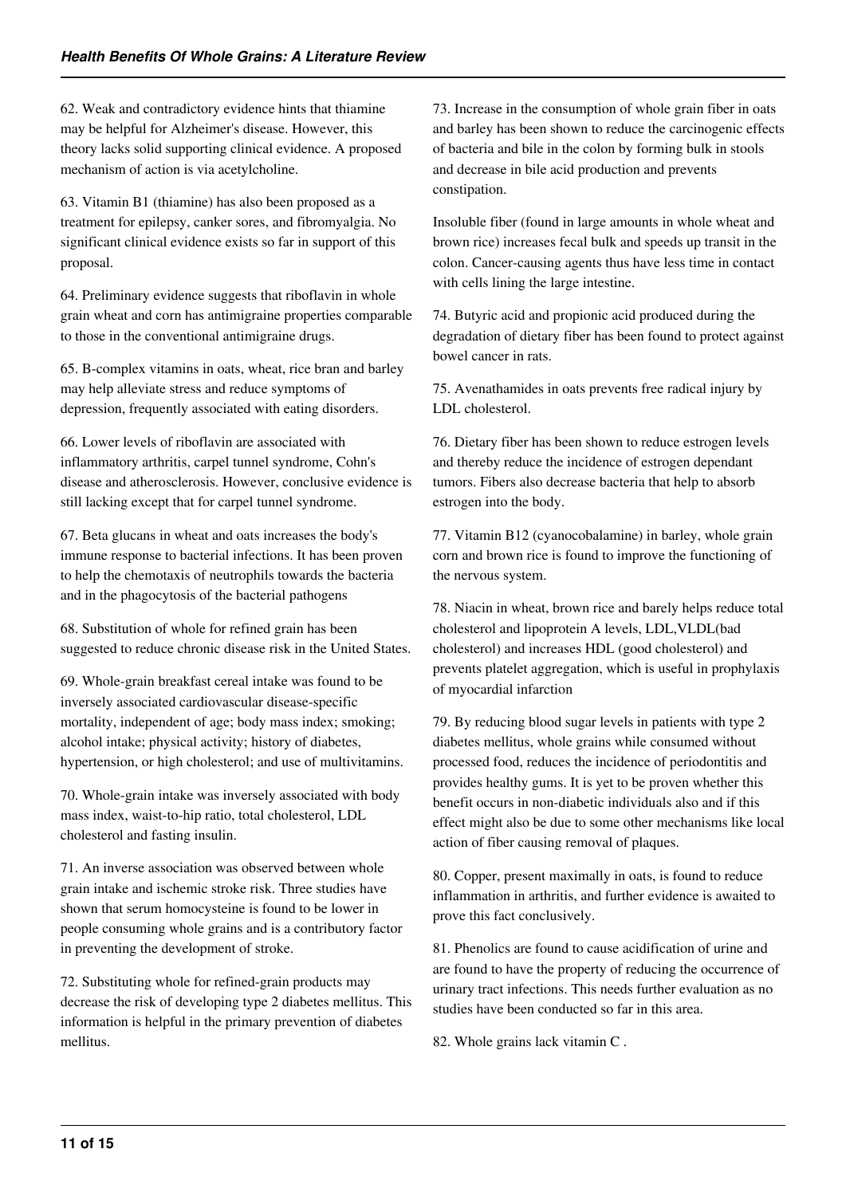62. Weak and contradictory evidence hints that thiamine may be helpful for Alzheimer's disease. However, this theory lacks solid supporting clinical evidence. A proposed mechanism of action is via acetylcholine.

63. Vitamin B1 (thiamine) has also been proposed as a treatment for epilepsy, canker sores, and fibromyalgia. No significant clinical evidence exists so far in support of this proposal.

64. Preliminary evidence suggests that riboflavin in whole grain wheat and corn has antimigraine properties comparable to those in the conventional antimigraine drugs.

65. B-complex vitamins in oats, wheat, rice bran and barley may help alleviate stress and reduce symptoms of depression, frequently associated with eating disorders.

66. Lower levels of riboflavin are associated with inflammatory arthritis, carpel tunnel syndrome, Cohn's disease and atherosclerosis. However, conclusive evidence is still lacking except that for carpel tunnel syndrome.

67. Beta glucans in wheat and oats increases the body's immune response to bacterial infections. It has been proven to help the chemotaxis of neutrophils towards the bacteria and in the phagocytosis of the bacterial pathogens

68. Substitution of whole for refined grain has been suggested to reduce chronic disease risk in the United States.

69. Whole-grain breakfast cereal intake was found to be inversely associated cardiovascular disease-specific mortality, independent of age; body mass index; smoking; alcohol intake; physical activity; history of diabetes, hypertension, or high cholesterol; and use of multivitamins.

70. Whole-grain intake was inversely associated with body mass index, waist-to-hip ratio, total cholesterol, LDL cholesterol and fasting insulin.

71. An inverse association was observed between whole grain intake and ischemic stroke risk. Three studies have shown that serum homocysteine is found to be lower in people consuming whole grains and is a contributory factor in preventing the development of stroke.

72. Substituting whole for refined-grain products may decrease the risk of developing type 2 diabetes mellitus. This information is helpful in the primary prevention of diabetes mellitus.

73. Increase in the consumption of whole grain fiber in oats and barley has been shown to reduce the carcinogenic effects of bacteria and bile in the colon by forming bulk in stools and decrease in bile acid production and prevents constipation.

Insoluble fiber (found in large amounts in whole wheat and brown rice) increases fecal bulk and speeds up transit in the colon. Cancer-causing agents thus have less time in contact with cells lining the large intestine.

74. Butyric acid and propionic acid produced during the degradation of dietary fiber has been found to protect against bowel cancer in rats.

75. Avenathamides in oats prevents free radical injury by LDL cholesterol.

76. Dietary fiber has been shown to reduce estrogen levels and thereby reduce the incidence of estrogen dependant tumors. Fibers also decrease bacteria that help to absorb estrogen into the body.

77. Vitamin B12 (cyanocobalamine) in barley, whole grain corn and brown rice is found to improve the functioning of the nervous system.

78. Niacin in wheat, brown rice and barely helps reduce total cholesterol and lipoprotein A levels, LDL,VLDL(bad cholesterol) and increases HDL (good cholesterol) and prevents platelet aggregation, which is useful in prophylaxis of myocardial infarction

79. By reducing blood sugar levels in patients with type 2 diabetes mellitus, whole grains while consumed without processed food, reduces the incidence of periodontitis and provides healthy gums. It is yet to be proven whether this benefit occurs in non-diabetic individuals also and if this effect might also be due to some other mechanisms like local action of fiber causing removal of plaques.

80. Copper, present maximally in oats, is found to reduce inflammation in arthritis, and further evidence is awaited to prove this fact conclusively.

81. Phenolics are found to cause acidification of urine and are found to have the property of reducing the occurrence of urinary tract infections. This needs further evaluation as no studies have been conducted so far in this area.

82. Whole grains lack vitamin C .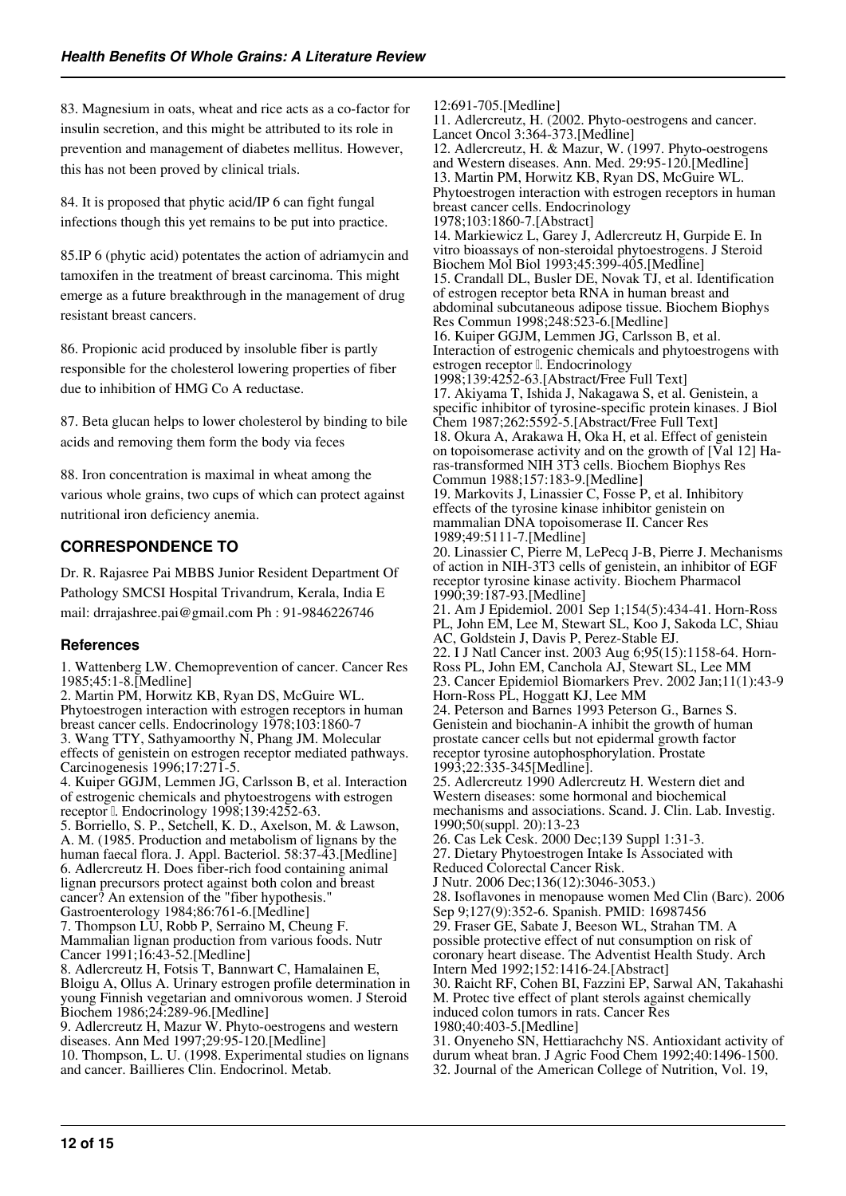83. Magnesium in oats, wheat and rice acts as a co-factor for insulin secretion, and this might be attributed to its role in prevention and management of diabetes mellitus. However, this has not been proved by clinical trials.

84. It is proposed that phytic acid/IP 6 can fight fungal infections though this yet remains to be put into practice.

85.IP 6 (phytic acid) potentates the action of adriamycin and tamoxifen in the treatment of breast carcinoma. This might emerge as a future breakthrough in the management of drug resistant breast cancers.

86. Propionic acid produced by insoluble fiber is partly responsible for the cholesterol lowering properties of fiber due to inhibition of HMG Co A reductase.

87. Beta glucan helps to lower cholesterol by binding to bile acids and removing them form the body via feces

88. Iron concentration is maximal in wheat among the various whole grains, two cups of which can protect against nutritional iron deficiency anemia.

## **CORRESPONDENCE TO**

Dr. R. Rajasree Pai MBBS Junior Resident Department Of Pathology SMCSI Hospital Trivandrum, Kerala, India E mail: drrajashree.pai@gmail.com Ph : 91-9846226746

#### **References**

1. Wattenberg LW. Chemoprevention of cancer. Cancer Res 1985;45:1-8.[Medline] 2. Martin PM, Horwitz KB, Ryan DS, McGuire WL.

Phytoestrogen interaction with estrogen receptors in human breast cancer cells. Endocrinology 1978;103:1860-7 3. Wang TTY, Sathyamoorthy N, Phang JM. Molecular effects of genistein on estrogen receptor mediated pathways. Carcinogenesis 1996;17:271-5. 4. Kuiper GGJM, Lemmen JG, Carlsson B, et al. Interaction

of estrogenic chemicals and phytoestrogens with estrogen receptor l. Endocrinology 1998;139:4252-63.

5. Borriello, S. P., Setchell, K. D., Axelson, M. & Lawson, A. M. (1985. Production and metabolism of lignans by the human faecal flora. J. Appl. Bacteriol. 58:37-43.[Medline] 6. Adlercreutz H. Does fiber-rich food containing animal lignan precursors protect against both colon and breast cancer? An extension of the "fiber hypothesis." Gastroenterology 1984;86:761-6.[Medline]

7. Thompson LU, Robb P, Serraino M, Cheung F. Mammalian lignan production from various foods. Nutr Cancer 1991;16:43-52.[Medline]

8. Adlercreutz H, Fotsis T, Bannwart C, Hamalainen E, Bloigu A, Ollus A. Urinary estrogen profile determination in young Finnish vegetarian and omnivorous women. J Steroid Biochem 1986;24:289-96.[Medline]

9. Adlercreutz H, Mazur W. Phyto-oestrogens and western diseases. Ann Med 1997;29:95-120.[Medline]

10. Thompson, L. U. (1998. Experimental studies on lignans and cancer. Baillieres Clin. Endocrinol. Metab.

12:691-705.[Medline] 11. Adlercreutz, H. (2002. Phyto-oestrogens and cancer. Lancet Oncol 3:364-373.[Medline] 12. Adlercreutz, H. & Mazur, W. (1997. Phyto-oestrogens and Western diseases. Ann. Med. 29:95-120.[Medline] 13. Martin PM, Horwitz KB, Ryan DS, McGuire WL. Phytoestrogen interaction with estrogen receptors in human breast cancer cells. Endocrinology 1978;103:1860-7.[Abstract] 14. Markiewicz L, Garey J, Adlercreutz H, Gurpide E. In vitro bioassays of non-steroidal phytoestrogens. J Steroid Biochem Mol Biol 1993;45:399-405.[Medline] 15. Crandall DL, Busler DE, Novak TJ, et al. Identification of estrogen receptor beta RNA in human breast and abdominal subcutaneous adipose tissue. Biochem Biophys Res Commun 1998;248:523-6.[Medline] 16. Kuiper GGJM, Lemmen JG, Carlsson B, et al. Interaction of estrogenic chemicals and phytoestrogens with estrogen receptor **I**. Endocrinology 1998;139:4252-63.[Abstract/Free Full Text] 17. Akiyama T, Ishida J, Nakagawa S, et al. Genistein, a specific inhibitor of tyrosine-specific protein kinases. J Biol Chem 1987;262:5592-5.[Abstract/Free Full Text] 18. Okura A, Arakawa H, Oka H, et al. Effect of genistein on topoisomerase activity and on the growth of  $\bar{V}$ al 12] Haras-transformed NIH 3T3 cells. Biochem Biophys Res Commun 1988;157:183-9.[Medline] 19. Markovits J, Linassier C, Fosse P, et al. Inhibitory effects of the tyrosine kinase inhibitor genistein on mammalian DNA topoisomerase II. Cancer Res 1989;49:5111-7.[Medline] 20. Linassier C, Pierre M, LePecq J-B, Pierre J. Mechanisms of action in NIH-3T3 cells of genistein, an inhibitor of EGF receptor tyrosine kinase activity. Biochem Pharmacol 1990;39:187-93.[Medline] 21. Am J Epidemiol. 2001 Sep 1;154(5):434-41. Horn-Ross PL, John EM, Lee M, Stewart SL, Koo J, Sakoda LC, Shiau AC, Goldstein J, Davis P, Perez-Stable EJ. 22. I J Natl Cancer inst. 2003 Aug 6;95(15):1158-64. Horn-Ross PL, John EM, Canchola AJ, Stewart SL, Lee MM 23. Cancer Epidemiol Biomarkers Prev. 2002 Jan;11(1):43-9 Horn-Ross PL, Hoggatt KJ, Lee MM 24. Peterson and Barnes 1993 Peterson G., Barnes S. Genistein and biochanin-A inhibit the growth of human prostate cancer cells but not epidermal growth factor receptor tyrosine autophosphorylation. Prostate 1993;22:335-345[Medline]. 25. Adlercreutz 1990 Adlercreutz H. Western diet and Western diseases: some hormonal and biochemical mechanisms and associations. Scand. J. Clin. Lab. Investig. 1990;50(suppl. 20):13-23 26. Cas Lek Cesk. 2000 Dec;139 Suppl 1:31-3. 27. Dietary Phytoestrogen Intake Is Associated with Reduced Colorectal Cancer Risk. J Nutr. 2006 Dec;136(12):3046-3053.) 28. Isoflavones in menopause women Med Clin (Barc). 2006 Sep 9;127(9):352-6. Spanish. PMID: 16987456 29. Fraser GE, Sabate J, Beeson WL, Strahan TM. A possible protective effect of nut consumption on risk of coronary heart disease. The Adventist Health Study. Arch Intern Med 1992;152:1416-24.[Abstract] 30. Raicht RF, Cohen BI, Fazzini EP, Sarwal AN, Takahashi M. Protec tive effect of plant sterols against chemically induced colon tumors in rats. Cancer Res 1980;40:403-5.[Medline] 31. Onyeneho SN, Hettiarachchy NS. Antioxidant activity of durum wheat bran. J Agric Food Chem 1992;40:1496-1500. 32. Journal of the American College of Nutrition, Vol. 19,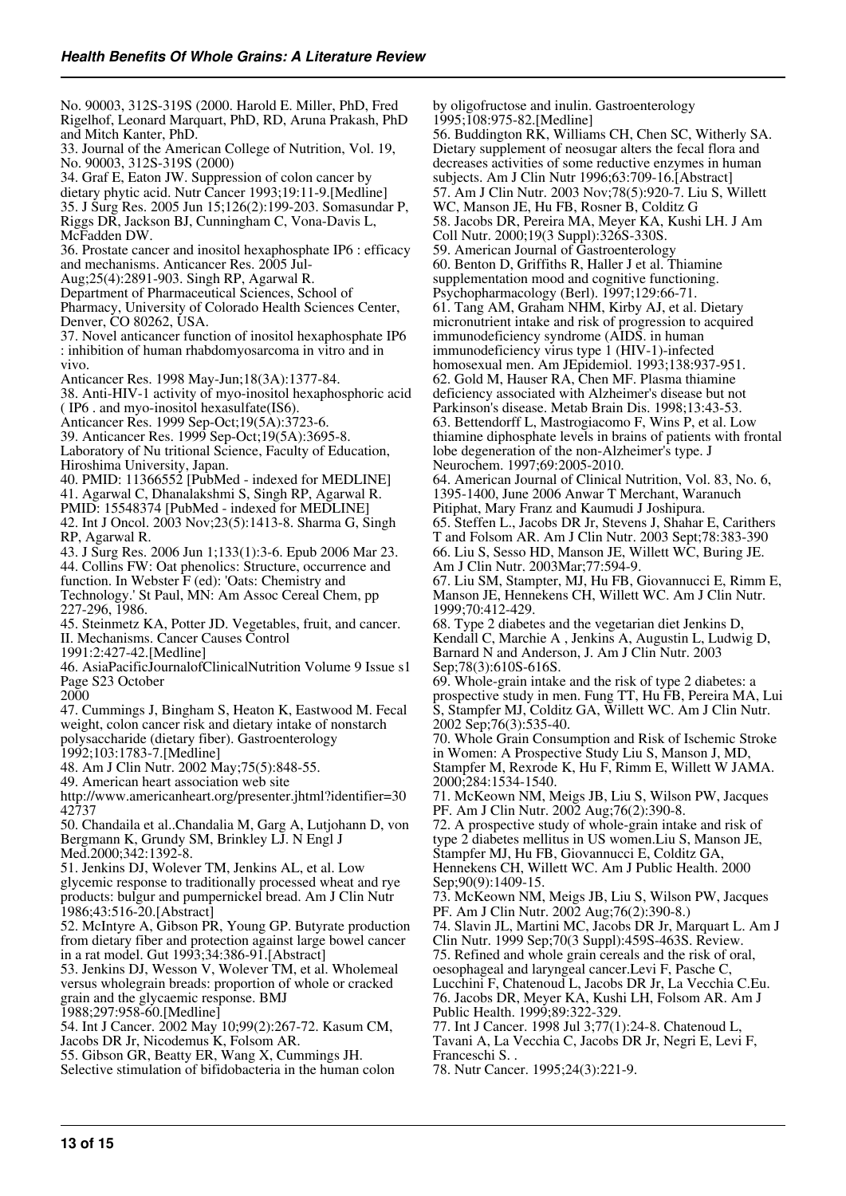No. 90003, 312S-319S (2000. Harold E. Miller, PhD, Fred Rigelhof, Leonard Marquart, PhD, RD, Aruna Prakash, PhD and Mitch Kanter, PhD. 33. Journal of the American College of Nutrition, Vol. 19, No. 90003, 312S-319S (2000) 34. Graf E, Eaton JW. Suppression of colon cancer by dietary phytic acid. Nutr Cancer 1993;19:11-9.[Medline] 35. J Surg Res. 2005 Jun 15;126(2):199-203. Somasundar P, Riggs DR, Jackson BJ, Cunningham C, Vona-Davis L, McFadden DW. 36. Prostate cancer and inositol hexaphosphate IP6 : efficacy and mechanisms. Anticancer Res. 2005 Jul-Aug;25(4):2891-903. Singh RP, Agarwal R. Department of Pharmaceutical Sciences, School of Pharmacy, University of Colorado Health Sciences Center, Denver, CO 80262, USA. 37. Novel anticancer function of inositol hexaphosphate IP6 : inhibition of human rhabdomyosarcoma in vitro and in vivo. Anticancer Res. 1998 May-Jun;18(3A):1377-84. 38. Anti-HIV-1 activity of myo-inositol hexaphosphoric acid ( IP6 . and myo-inositol hexasulfate(IS6). Anticancer Res. 1999 Sep-Oct;19(5A):3723-6. 39. Anticancer Res. 1999 Sep-Oct;19(5A):3695-8. Laboratory of Nu tritional Science, Faculty of Education, Hiroshima University, Japan. 40. PMID: 11366552 [PubMed - indexed for MEDLINE] 41. Agarwal C, Dhanalakshmi S, Singh RP, Agarwal R. PMID: 15548374 [PubMed - indexed for MEDLINE] 42. Int J Oncol. 2003 Nov;23(5):1413-8. Sharma G, Singh RP, Agarwal R. 43. J Surg Res. 2006 Jun 1;133(1):3-6. Epub 2006 Mar 23. 44. Collins FW: Oat phenolics: Structure, occurrence and function. In Webster F (ed): 'Oats: Chemistry and Technology.' St Paul, MN: Am Assoc Cereal Chem, pp 227-296, 1986. 45. Steinmetz KA, Potter JD. Vegetables, fruit, and cancer. II. Mechanisms. Cancer Causes Control 1991:2:427-42.[Medline] 46. AsiaPacificJournalofClinicalNutrition Volume 9 Issue s1 Page S23 October 2000 47. Cummings J, Bingham S, Heaton K, Eastwood M. Fecal weight, colon cancer risk and dietary intake of nonstarch polysaccharide (dietary fiber). Gastroenterology 1992;103:1783-7.[Medline] 48. Am J Clin Nutr. 2002 May;75(5):848-55. 49. American heart association web site http://www.americanheart.org/presenter.jhtml?identifier=30 42737 50. Chandaila et al..Chandalia M, Garg A, Lutjohann D, von Bergmann K, Grundy SM, Brinkley LJ. N Engl J Med.2000;342:1392-8. 51. Jenkins DJ, Wolever TM, Jenkins AL, et al. Low glycemic response to traditionally processed wheat and rye products: bulgur and pumpernickel bread. Am J Clin Nutr 1986;43:516-20.[Abstract] 52. McIntyre A, Gibson PR, Young GP. Butyrate production from dietary fiber and protection against large bowel cancer in a rat model. Gut 1993;34:386-91.[Abstract] 53. Jenkins DJ, Wesson V, Wolever TM, et al. Wholemeal versus wholegrain breads: proportion of whole or cracked grain and the glycaemic response. BMJ 1988;297:958-60.[Medline] 54. Int J Cancer. 2002 May 10;99(2):267-72. Kasum CM, Jacobs DR Jr, Nicodemus K, Folsom AR. 55. Gibson GR, Beatty ER, Wang X, Cummings JH. Selective stimulation of bifidobacteria in the human colon

by oligofructose and inulin. Gastroenterology 1995;108:975-82.[Medline] 56. Buddington RK, Williams CH, Chen SC, Witherly SA. Dietary supplement of neosugar alters the fecal flora and decreases activities of some reductive enzymes in human subjects. Am J Clin Nutr 1996;63:709-16.[Abstract] 57. Am J Clin Nutr. 2003 Nov;78(5):920-7. Liu S, Willett WC, Manson JE, Hu FB, Rosner B, Colditz G 58. Jacobs DR, Pereira MA, Meyer KA, Kushi LH. J Am Coll Nutr. 2000;19(3 Suppl):326S-330S. 59. American Journal of Gastroenterology 60. Benton D, Griffiths R, Haller J et al. Thiamine supplementation mood and cognitive functioning. Psychopharmacology (Berl). 1997;129:66-71. 61. Tang AM, Graham NHM, Kirby AJ, et al. Dietary micronutrient intake and risk of progression to acquired immunodeficiency syndrome (AIDS. in human immunodeficiency virus type 1 (HIV-1)-infected homosexual men. Am JEpidemiol. 1993;138:937-951. 62. Gold M, Hauser RA, Chen MF. Plasma thiamine deficiency associated with Alzheimer's disease but not Parkinson's disease. Metab Brain Dis. 1998;13:43-53. 63. Bettendorff L, Mastrogiacomo F, Wins P, et al. Low thiamine diphosphate levels in brains of patients with frontal lobe degeneration of the non-Alzheimer's type. J Neurochem. 1997;69:2005-2010. 64. American Journal of Clinical Nutrition, Vol. 83, No. 6, 1395-1400, June 2006 Anwar T Merchant, Waranuch Pitiphat, Mary Franz and Kaumudi J Joshipura. 65. Steffen L., Jacobs DR Jr, Stevens J, Shahar E, Carithers T and Folsom AR. Am J Clin Nutr. 2003 Sept;78:383-390 66. Liu S, Sesso HD, Manson JE, Willett WC, Buring JE. Am J Clin Nutr. 2003Mar;77:594-9. 67. Liu SM, Stampter, MJ, Hu FB, Giovannucci E, Rimm E, Manson JE, Hennekens CH, Willett WC. Am J Clin Nutr. 1999;70:412-429. 68. Type 2 diabetes and the vegetarian diet Jenkins D, Kendall C, Marchie A , Jenkins A, Augustin L, Ludwig D, Barnard N and Anderson, J. Am J Clin Nutr. 2003 Sep;78(3):610S-616S. 69. Whole-grain intake and the risk of type 2 diabetes: a prospective study in men. Fung TT, Hu FB, Pereira MA, Lui S, Stampfer MJ, Colditz GA, Willett WC. Am J Clin Nutr. 2002 Sep;76(3):535-40. 70. Whole Grain Consumption and Risk of Ischemic Stroke in Women: A Prospective Study Liu S, Manson J, MD, Stampfer M, Rexrode K, Hu F, Rimm E, Willett W JAMA. 2000;284:1534-1540. 71. McKeown NM, Meigs JB, Liu S, Wilson PW, Jacques PF. Am J Clin Nutr. 2002 Aug;76(2):390-8. 72. A prospective study of whole-grain intake and risk of type 2 diabetes mellitus in US women.Liu S, Manson JE, Stampfer MJ, Hu FB, Giovannucci E, Colditz GA, Hennekens CH, Willett WC. Am J Public Health. 2000 Sep;90(9):1409-15. 73. McKeown NM, Meigs JB, Liu S, Wilson PW, Jacques PF. Am J Clin Nutr. 2002 Aug;76(2):390-8.) 74. Slavin JL, Martini MC, Jacobs DR Jr, Marquart L. Am J Clin Nutr. 1999 Sep;70(3 Suppl):459S-463S. Review. 75. Refined and whole grain cereals and the risk of oral, oesophageal and laryngeal cancer.Levi F, Pasche C, Lucchini F, Chatenoud L, Jacobs DR Jr, La Vecchia C.Eu. 76. Jacobs DR, Meyer KA, Kushi LH, Folsom AR. Am J Public Health. 1999;89:322-329. 77. Int J Cancer. 1998 Jul 3;77(1):24-8. Chatenoud L, Tavani A, La Vecchia C, Jacobs DR Jr, Negri E, Levi F,

Franceschi S. .

78. Nutr Cancer. 1995;24(3):221-9.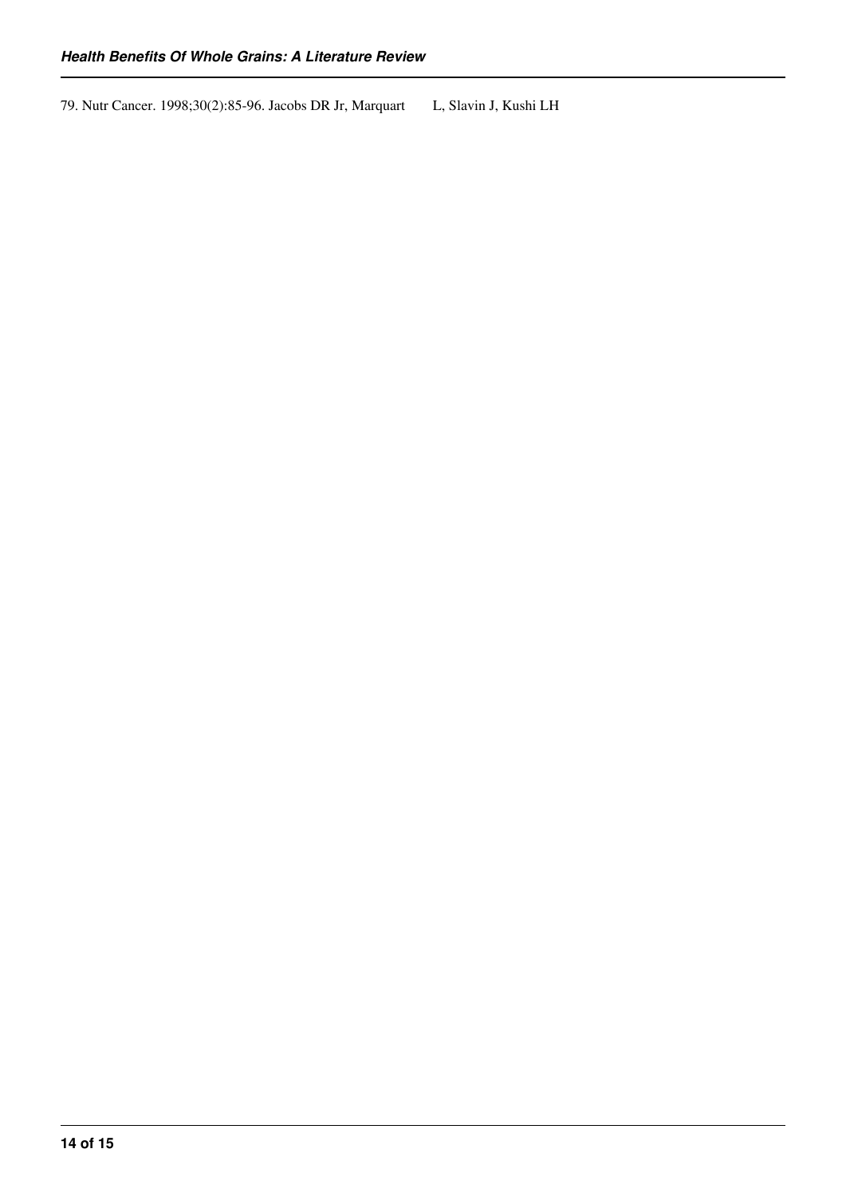79. Nutr Cancer. 1998;30(2):85-96. Jacobs DR Jr, Marquart L, Slavin J, Kushi LH